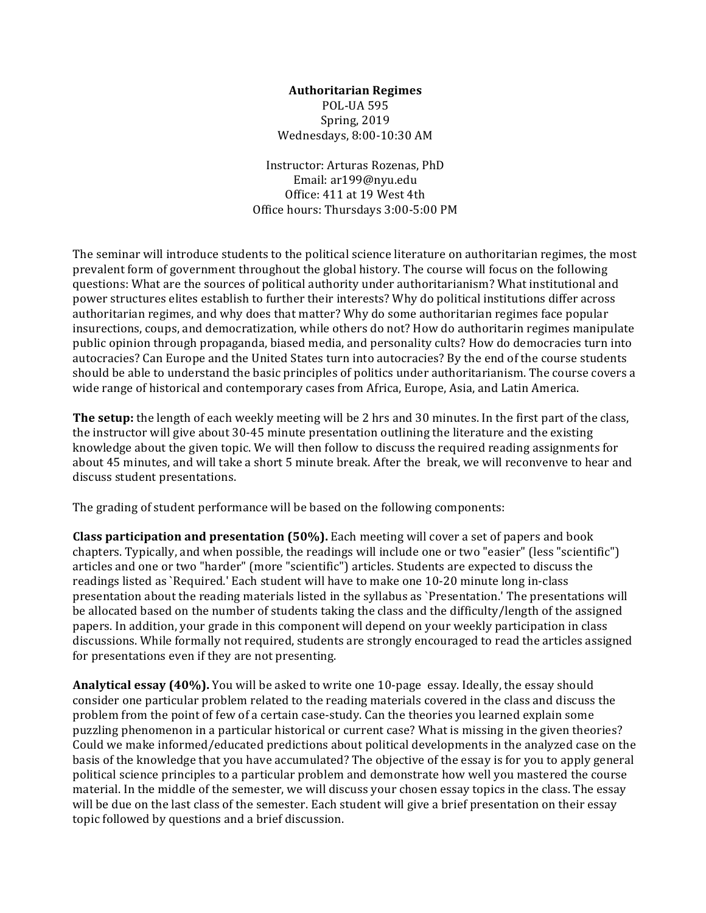#### **Authoritarian Regimes**

POL-UA 595 Spring, 2019 Wednesdays, 8:00-10:30 AM

Instructor: Arturas Rozenas, PhD Email: ar199@nyu.edu Office: 411 at 19 West 4th Office hours: Thursdays 3:00-5:00 PM

The seminar will introduce students to the political science literature on authoritarian regimes, the most prevalent form of government throughout the global history. The course will focus on the following questions: What are the sources of political authority under authoritarianism? What institutional and power structures elites establish to further their interests? Why do political institutions differ across authoritarian regimes, and why does that matter? Why do some authoritarian regimes face popular insurections, coups, and democratization, while others do not? How do authoritarin regimes manipulate public opinion through propaganda, biased media, and personality cults? How do democracies turn into autocracies? Can Europe and the United States turn into autocracies? By the end of the course students should be able to understand the basic principles of politics under authoritarianism. The course covers a wide range of historical and contemporary cases from Africa, Europe, Asia, and Latin America.

The setup: the length of each weekly meeting will be 2 hrs and 30 minutes. In the first part of the class, the instructor will give about 30-45 minute presentation outlining the literature and the existing knowledge about the given topic. We will then follow to discuss the required reading assignments for about 45 minutes, and will take a short 5 minute break. After the break, we will reconvenve to hear and discuss student presentations.

The grading of student performance will be based on the following components:

**Class participation and presentation (50%).** Each meeting will cover a set of papers and book chapters. Typically, and when possible, the readings will include one or two "easier" (less "scientific") articles and one or two "harder" (more "scientific") articles. Students are expected to discuss the readings listed as `Required.' Each student will have to make one 10-20 minute long in-class presentation about the reading materials listed in the syllabus as `Presentation.' The presentations will be allocated based on the number of students taking the class and the difficulty/length of the assigned papers. In addition, your grade in this component will depend on your weekly participation in class discussions. While formally not required, students are strongly encouraged to read the articles assigned for presentations even if they are not presenting.

**Analytical essay (40%).** You will be asked to write one 10-page essay. Ideally, the essay should consider one particular problem related to the reading materials covered in the class and discuss the problem from the point of few of a certain case-study. Can the theories you learned explain some puzzling phenomenon in a particular historical or current case? What is missing in the given theories? Could we make informed/educated predictions about political developments in the analyzed case on the basis of the knowledge that you have accumulated? The objective of the essay is for you to apply general political science principles to a particular problem and demonstrate how well you mastered the course material. In the middle of the semester, we will discuss your chosen essay topics in the class. The essay will be due on the last class of the semester. Each student will give a brief presentation on their essay topic followed by questions and a brief discussion.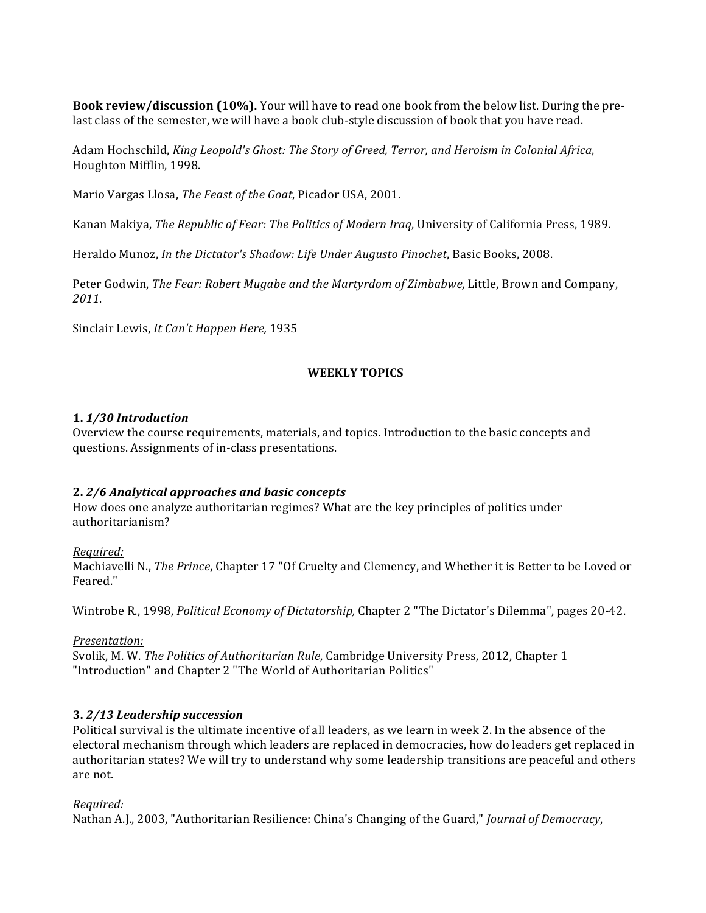**Book review/discussion (10%).** Your will have to read one book from the below list. During the prelast class of the semester, we will have a book club-style discussion of book that you have read.

Adam Hochschild, *King Leopold's Ghost: The Story of Greed, Terror, and Heroism in Colonial Africa*, Houghton Mifflin, 1998.

Mario Vargas Llosa, *The Feast of the Goat*, Picador USA, 2001.

Kanan Makiya, *The Republic of Fear: The Politics of Modern Iraq*, University of California Press, 1989.

Heraldo Munoz, *In the Dictator's Shadow: Life Under Augusto Pinochet*, Basic Books, 2008.

Peter Godwin, *The Fear: Robert Mugabe and the Martyrdom of Zimbabwe, Little, Brown and Company, 2011*.

Sinclair Lewis, *It Can't Happen Here*, 1935

#### **WEEKLY TOPICS**

#### **1.** *1/30 Introduction*

Overview the course requirements, materials, and topics. Introduction to the basic concepts and questions. Assignments of in-class presentations.

#### **2.** *2/6 Analytical approaches and basic concepts*

How does one analyze authoritarian regimes? What are the key principles of politics under authoritarianism?

#### *Required:*

Machiavelli N., *The Prince*, Chapter 17 "Of Cruelty and Clemency, and Whether it is Better to be Loved or Feared."

Wintrobe R., 1998, *Political Economy of Dictatorship*, Chapter 2 "The Dictator's Dilemma", pages 20-42.

#### *Presentation:*

Svolik, M. W. *The Politics of Authoritarian Rule*, Cambridge University Press, 2012, Chapter 1 "Introduction" and Chapter 2 "The World of Authoritarian Politics"

#### **3.** *2/13 Leadership succession*

Political survival is the ultimate incentive of all leaders, as we learn in week 2. In the absence of the electoral mechanism through which leaders are replaced in democracies, how do leaders get replaced in authoritarian states? We will try to understand why some leadership transitions are peaceful and others are not.

#### *Required:*

Nathan A.J., 2003, "Authoritarian Resilience: China's Changing of the Guard," *Journal of Democracy*,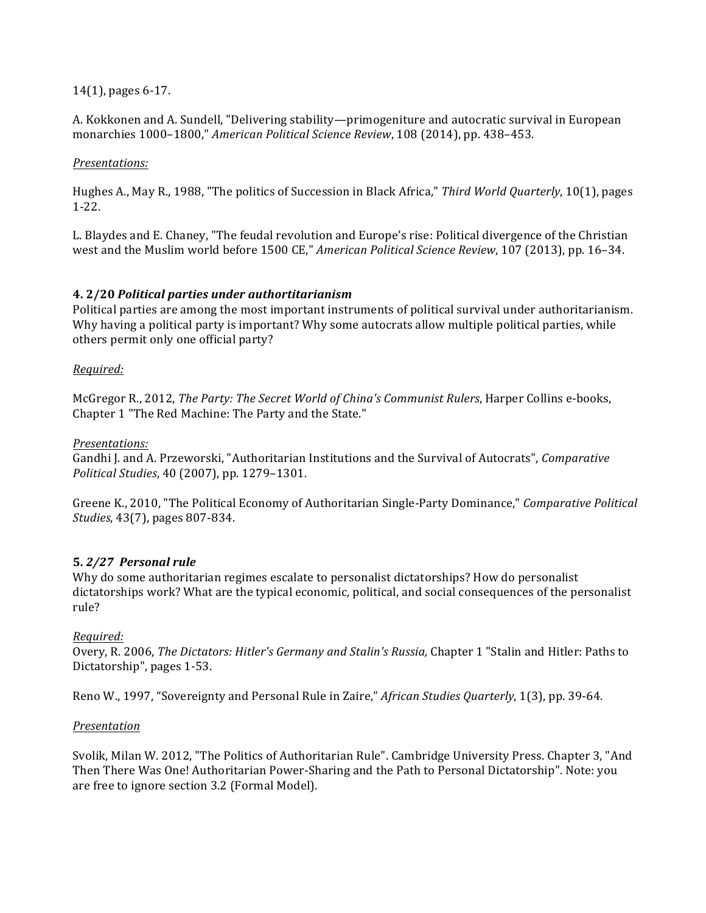### $14(1)$ , pages 6-17.

A. Kokkonen and A. Sundell, "Delivering stability—primogeniture and autocratic survival in European monarchies 1000–1800," *American Political Science Review*, 108 (2014), pp. 438–453.

### *Presentations:*

Hughes A., May R., 1988, "The politics of Succession in Black Africa," *Third World Quarterly*, 10(1), pages 1-22.

L. Blaydes and E. Chaney, "The feudal revolution and Europe's rise: Political divergence of the Christian west and the Muslim world before 1500 CE," *American Political Science Review*, 107 (2013), pp. 16-34.

### **4. 2/20** *Political parties under authortitarianism*

Political parties are among the most important instruments of political survival under authoritarianism. Why having a political party is important? Why some autocrats allow multiple political parties, while others permit only one official party?

### *Required:*

McGregor R., 2012, *The Party: The Secret World of China's Communist Rulers*, Harper Collins e-books, Chapter 1 "The Red Machine: The Party and the State."

#### *Presentations:*

Gandhi J. and A. Przeworski, "Authoritarian Institutions and the Survival of Autocrats", *Comparative Political Studies*, 40 (2007), pp. 1279–1301.

Greene K., 2010, "The Political Economy of Authoritarian Single-Party Dominance," *Comparative Political Studies*, 43(7), pages 807-834.

#### **5.** *2/27 Personal rule*

Why do some authoritarian regimes escalate to personalist dictatorships? How do personalist dictatorships work? What are the typical economic, political, and social consequences of the personalist rule?

#### *Required:*

Overy, R. 2006, *The Dictators: Hitler's Germany and Stalin's Russia*, Chapter 1 "Stalin and Hitler: Paths to Dictatorship", pages 1-53.

Reno W., 1997, "Sovereignty and Personal Rule in Zaire," *African Studies Quarterly*, 1(3), pp. 39-64.

#### *Presentation*

Svolik, Milan W. 2012, "The Politics of Authoritarian Rule". Cambridge University Press. Chapter 3, "And Then There Was One! Authoritarian Power-Sharing and the Path to Personal Dictatorship". Note: you are free to ignore section 3.2 (Formal Model).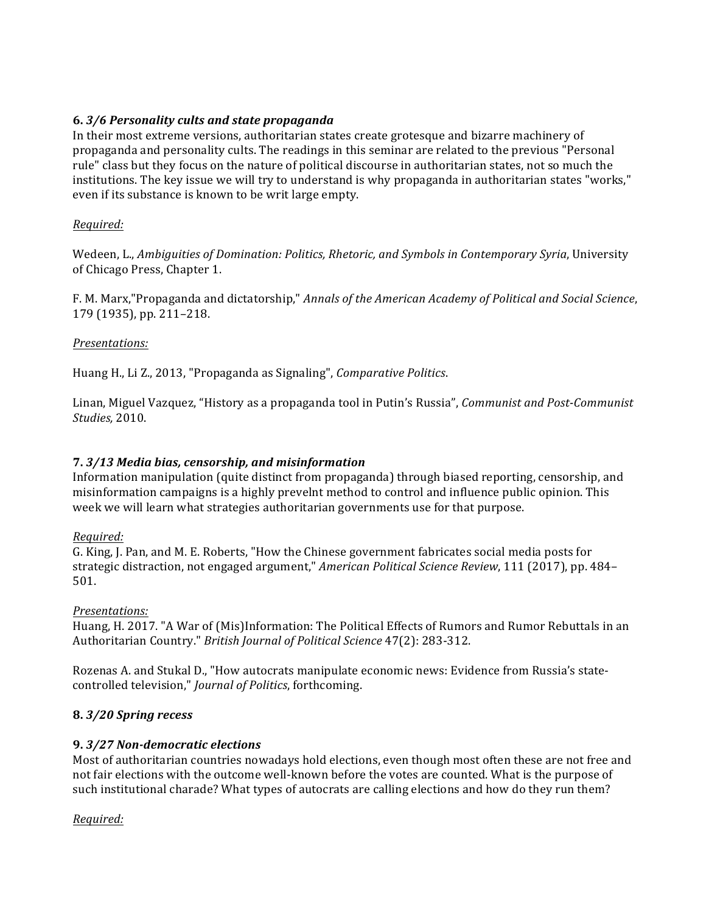## **6.** *3/6 Personality cults and state propaganda*

In their most extreme versions, authoritarian states create grotesque and bizarre machinery of propaganda and personality cults. The readings in this seminar are related to the previous "Personal rule" class but they focus on the nature of political discourse in authoritarian states, not so much the institutions. The key issue we will try to understand is why propaganda in authoritarian states "works," even if its substance is known to be writ large empty.

### *Required:*

Wedeen, L., *Ambiguities of Domination: Politics, Rhetoric, and Symbols in Contemporary Syria*, University of Chicago Press, Chapter 1.

F. M. Marx,"Propaganda and dictatorship," *Annals of the American Academy of Political and Social Science*, 179 (1935), pp. 211-218.

#### *Presentations:*

Huang H., Li Z., 2013, "Propaganda as Signaling", *Comparative Politics*.

Linan, Miguel Vazquez, "History as a propaganda tool in Putin's Russia", *Communist and Post-Communist Studies,* 2010.

### **7.** *3/13 Media bias, censorship, and misinformation*

Information manipulation (quite distinct from propaganda) through biased reporting, censorship, and misinformation campaigns is a highly prevelnt method to control and influence public opinion. This week we will learn what strategies authoritarian governments use for that purpose.

#### *Required:*

G. King, J. Pan, and M. E. Roberts, "How the Chinese government fabricates social media posts for strategic distraction, not engaged argument," *American Political Science Review*, 111 (2017), pp. 484– 501.

#### *Presentations:*

Huang, H. 2017. "A War of (Mis)Information: The Political Effects of Rumors and Rumor Rebuttals in an Authoritarian Country." *British Journal of Political Science* 47(2): 283-312.

Rozenas A. and Stukal D., "How autocrats manipulate economic news: Evidence from Russia's statecontrolled television," *Journal of Politics*, forthcoming.

#### **8.** *3/20 Spring recess*

#### **9.** *3/27 Non-democratic elections*

Most of authoritarian countries nowadays hold elections, even though most often these are not free and not fair elections with the outcome well-known before the votes are counted. What is the purpose of such institutional charade? What types of autocrats are calling elections and how do they run them?

## *Required:*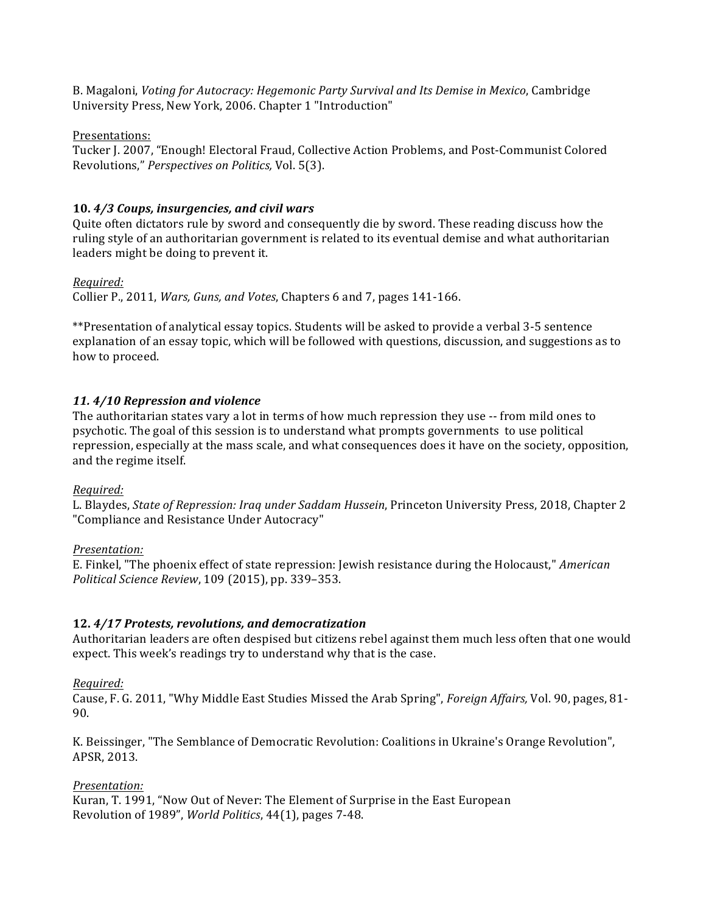B. Magaloni, *Voting for Autocracy: Hegemonic Party Survival and Its Demise in Mexico*, Cambridge University Press, New York, 2006. Chapter 1 "Introduction"

Presentations:

Tucker J. 2007, "Enough! Electoral Fraud, Collective Action Problems, and Post-Communist Colored Revolutions," Perspectives on Politics, Vol. 5(3).

# 10.  $4/3$  Coups, insurgencies, and civil wars

Quite often dictators rule by sword and consequently die by sword. These reading discuss how the ruling style of an authoritarian government is related to its eventual demise and what authoritarian leaders might be doing to prevent it.

## *Required:*

Collier P., 2011, *Wars, Guns, and Votes*, Chapters 6 and 7, pages 141-166.

\*\*Presentation of analytical essay topics. Students will be asked to provide a verbal 3-5 sentence explanation of an essay topic, which will be followed with questions, discussion, and suggestions as to how to proceed.

# *11. 4/10 Repression and violence*

The authoritarian states vary a lot in terms of how much repression they use -- from mild ones to psychotic. The goal of this session is to understand what prompts governments to use political repression, especially at the mass scale, and what consequences does it have on the society, opposition, and the regime itself.

## *Required:*

L. Blaydes, *State of Repression: Iraq under Saddam Hussein*, Princeton University Press, 2018, Chapter 2 "Compliance and Resistance Under Autocracy"

## *Presentation:*

E. Finkel, "The phoenix effect of state repression: Jewish resistance during the Holocaust," American *Political Science Review*, 109 (2015), pp. 339–353.

# **12.** *4/17 Protests, revolutions, and democratization*

Authoritarian leaders are often despised but citizens rebel against them much less often that one would expect. This week's readings try to understand why that is the case.

## *Required:*

Cause, F. G. 2011, "Why Middle East Studies Missed the Arab Spring", *Foreign Affairs*, Vol. 90, pages, 81-90.

K. Beissinger, "The Semblance of Democratic Revolution: Coalitions in Ukraine's Orange Revolution", APSR, 2013.

## *Presentation:*

Kuran, T. 1991, "Now Out of Never: The Element of Surprise in the East European Revolution of 1989", *World Politics*, 44(1), pages 7-48.